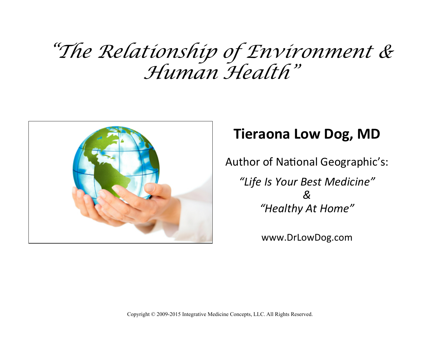## *"The Relationship of Environment & Human Health"*



## **Tieraona Low Dog, MD**

Author of National Geographic's:

*"Life Is Your Best Medicine" & "Healthy At Home"* 

www.DrLowDog.com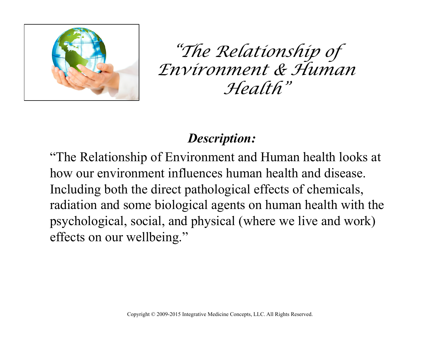

*"The Relationship of Environment & Human Health"*

## *Description:*

"The Relationship of Environment and Human health looks at how our environment influences human health and disease. Including both the direct pathological effects of chemicals, radiation and some biological agents on human health with the psychological, social, and physical (where we live and work) effects on our wellbeing."